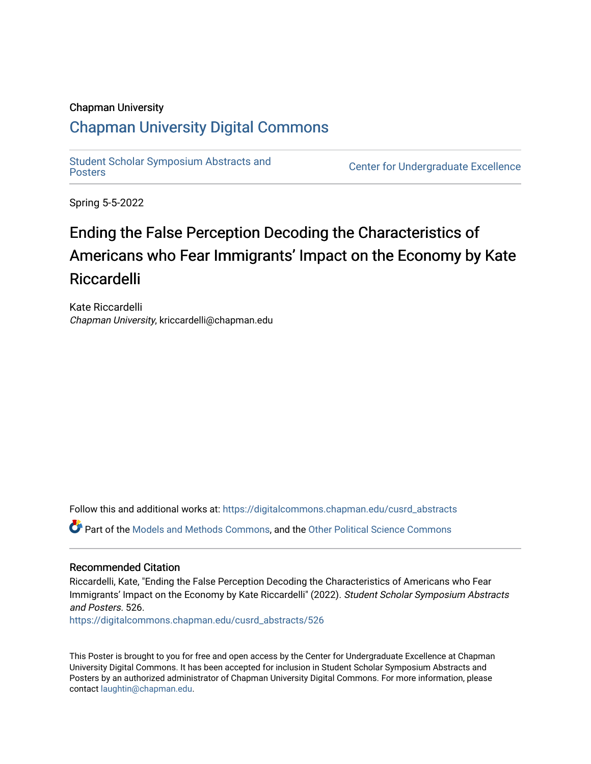### Chapman University

### [Chapman University Digital Commons](https://digitalcommons.chapman.edu/)

[Student Scholar Symposium Abstracts and](https://digitalcommons.chapman.edu/cusrd_abstracts) 

**Center for Undergraduate Excellence** 

Spring 5-5-2022

### Ending the False Perception Decoding the Characteristics of Americans who Fear Immigrants' Impact on the Economy by Kate Riccardelli

Kate Riccardelli Chapman University, kriccardelli@chapman.edu

Follow this and additional works at: [https://digitalcommons.chapman.edu/cusrd\\_abstracts](https://digitalcommons.chapman.edu/cusrd_abstracts?utm_source=digitalcommons.chapman.edu%2Fcusrd_abstracts%2F526&utm_medium=PDF&utm_campaign=PDFCoverPages) 

Part of the [Models and Methods Commons,](http://network.bepress.com/hgg/discipline/390?utm_source=digitalcommons.chapman.edu%2Fcusrd_abstracts%2F526&utm_medium=PDF&utm_campaign=PDFCoverPages) and the [Other Political Science Commons](http://network.bepress.com/hgg/discipline/392?utm_source=digitalcommons.chapman.edu%2Fcusrd_abstracts%2F526&utm_medium=PDF&utm_campaign=PDFCoverPages)

### Recommended Citation

Riccardelli, Kate, "Ending the False Perception Decoding the Characteristics of Americans who Fear Immigrants' Impact on the Economy by Kate Riccardelli" (2022). Student Scholar Symposium Abstracts and Posters. 526.

[https://digitalcommons.chapman.edu/cusrd\\_abstracts/526](https://digitalcommons.chapman.edu/cusrd_abstracts/526?utm_source=digitalcommons.chapman.edu%2Fcusrd_abstracts%2F526&utm_medium=PDF&utm_campaign=PDFCoverPages) 

This Poster is brought to you for free and open access by the Center for Undergraduate Excellence at Chapman University Digital Commons. It has been accepted for inclusion in Student Scholar Symposium Abstracts and Posters by an authorized administrator of Chapman University Digital Commons. For more information, please contact [laughtin@chapman.edu](mailto:laughtin@chapman.edu).